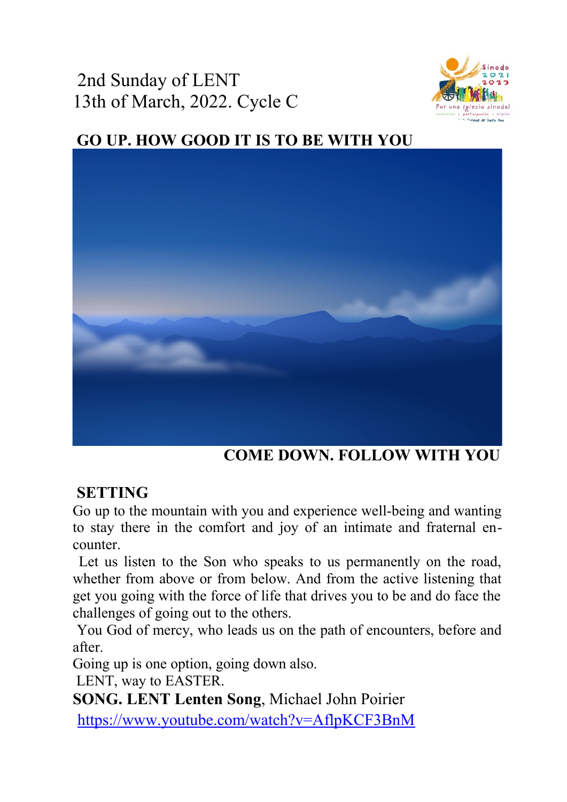2nd Sunday of LENT 13th of March, 2022. Cycle C



# **GO UP. HOW GOOD IT IS TO BE WITH YOU**



 **COME DOWN. FOLLOW WITH YOU**

## **SETTING**

Go up to the mountain with you and experience well-being and wanting to stay there in the comfort and joy of an intimate and fraternal encounter.

Let us listen to the Son who speaks to us permanently on the road, whether from above or from below. And from the active listening that get you going with the force of life that drives you to be and do face the challenges of going out to the others.

You God of mercy, who leads us on the path of encounters, before and after.

Going up is one option, going down also.

LENT, way to EASTER.

**SONG. LENT Lenten Song**, Michael John Poirier

https://www.youtube.com/watch?v=AflpKCF3BnM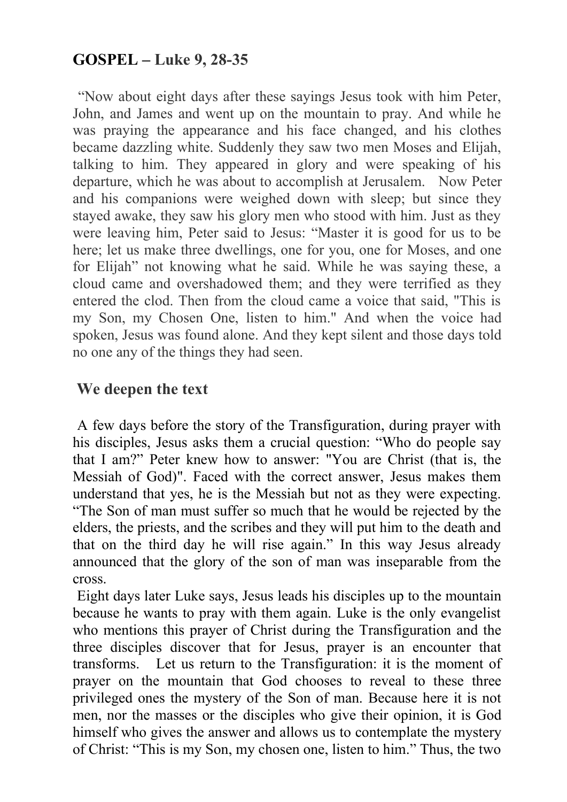### **GOSPEL – Luke 9, 28-35**

"Now about eight days after these sayings Jesus took with him Peter, John, and James and went up on the mountain to pray. And while he was praying the appearance and his face changed, and his clothes became dazzling white. Suddenly they saw two men Moses and Elijah, talking to him. They appeared in glory and were speaking of his departure, which he was about to accomplish at Jerusalem. Now Peter and his companions were weighed down with sleep; but since they stayed awake, they saw his glory men who stood with him. Just as they were leaving him, Peter said to Jesus: "Master it is good for us to be here; let us make three dwellings, one for you, one for Moses, and one for Elijah" not knowing what he said. While he was saying these, a cloud came and overshadowed them; and they were terrified as they entered the clod. Then from the cloud came a voice that said, "This is my Son, my Chosen One, listen to him." And when the voice had spoken, Jesus was found alone. And they kept silent and those days told no one any of the things they had seen.

#### **We deepen the text**

 A few days before the story of the Transfiguration, during prayer with his disciples, Jesus asks them a crucial question: "Who do people say that I am?" Peter knew how to answer: "You are Christ (that is, the Messiah of God)". Faced with the correct answer, Jesus makes them understand that yes, he is the Messiah but not as they were expecting. "The Son of man must suffer so much that he would be rejected by the elders, the priests, and the scribes and they will put him to the death and that on the third day he will rise again." In this way Jesus already announced that the glory of the son of man was inseparable from the cross.

Eight days later Luke says, Jesus leads his disciples up to the mountain because he wants to pray with them again. Luke is the only evangelist who mentions this prayer of Christ during the Transfiguration and the three disciples discover that for Jesus, prayer is an encounter that transforms. Let us return to the Transfiguration: it is the moment of prayer on the mountain that God chooses to reveal to these three privileged ones the mystery of the Son of man. Because here it is not men, nor the masses or the disciples who give their opinion, it is God himself who gives the answer and allows us to contemplate the mystery of Christ: "This is my Son, my chosen one, listen to him." Thus, the two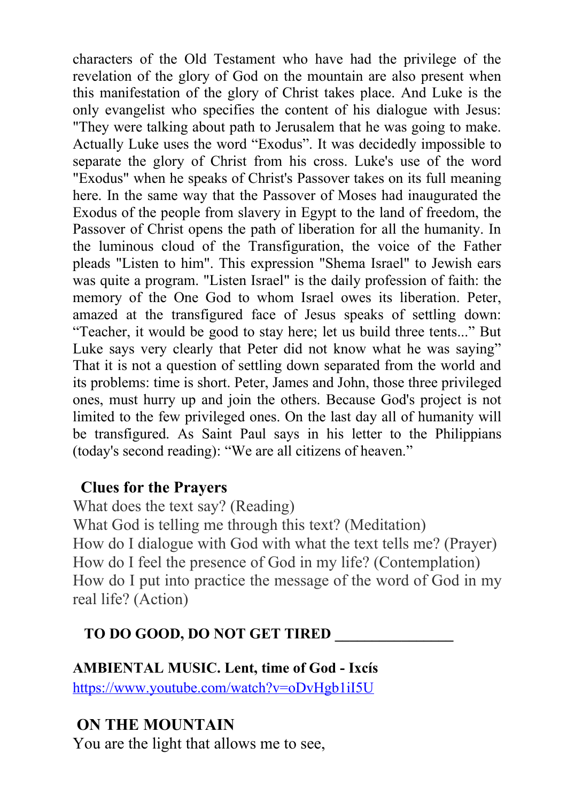characters of the Old Testament who have had the privilege of the revelation of the glory of God on the mountain are also present when this manifestation of the glory of Christ takes place. And Luke is the only evangelist who specifies the content of his dialogue with Jesus: "They were talking about path to Jerusalem that he was going to make. Actually Luke uses the word "Exodus". It was decidedly impossible to separate the glory of Christ from his cross. Luke's use of the word "Exodus" when he speaks of Christ's Passover takes on its full meaning here. In the same way that the Passover of Moses had inaugurated the Exodus of the people from slavery in Egypt to the land of freedom, the Passover of Christ opens the path of liberation for all the humanity. In the luminous cloud of the Transfiguration, the voice of the Father pleads "Listen to him". This expression "Shema Israel" to Jewish ears was quite a program. "Listen Israel" is the daily profession of faith: the memory of the One God to whom Israel owes its liberation. Peter, amazed at the transfigured face of Jesus speaks of settling down: "Teacher, it would be good to stay here; let us build three tents..." But Luke says very clearly that Peter did not know what he was saying" That it is not a question of settling down separated from the world and its problems: time is short. Peter, James and John, those three privileged ones, must hurry up and join the others. Because God's project is not limited to the few privileged ones. On the last day all of humanity will be transfigured. As Saint Paul says in his letter to the Philippians (today's second reading): "We are all citizens of heaven."

#### **Clues for the Prayers**

What does the text say? (Reading) What God is telling me through this text? (Meditation) How do I dialogue with God with what the text tells me? (Prayer) How do I feel the presence of God in my life? (Contemplation) How do I put into practice the message of the word of God in my real life? (Action)

### **TO DO GOOD, DO NOT GET TIRED \_\_\_\_\_\_\_\_\_\_\_\_\_\_\_\_**

### **AMBIENTAL MUSIC. Lent, time of God - Ixcís** <https://www.youtube.com/watch?v=oDvHgb1iI5U>

## **ON THE MOUNTAIN**

You are the light that allows me to see,